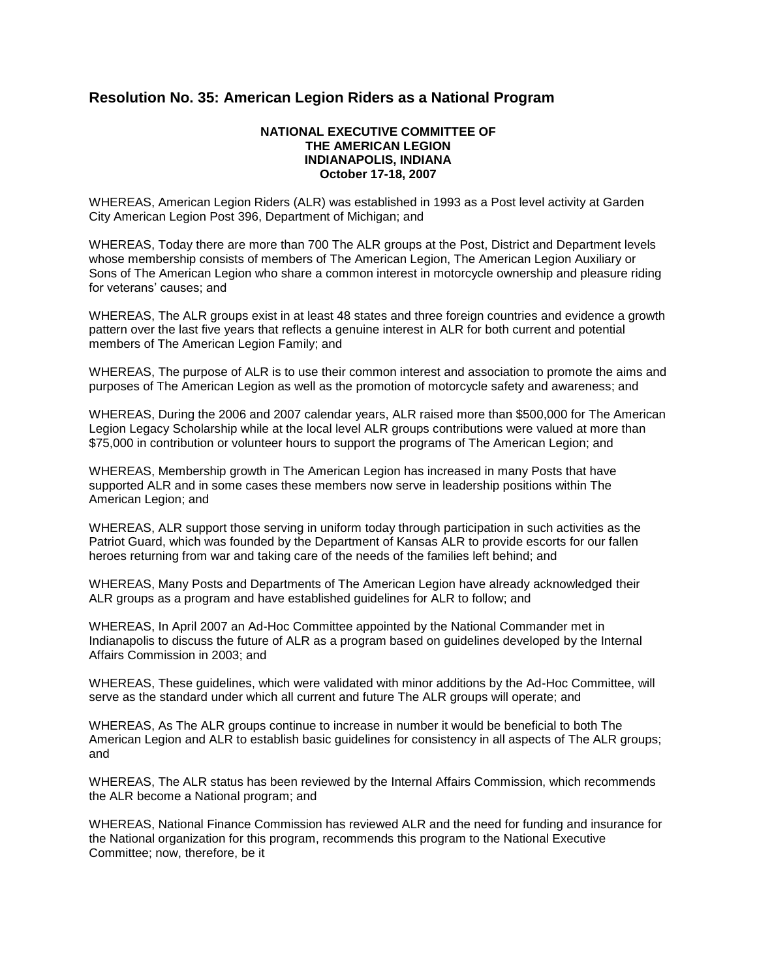## **Resolution No. 35: American Legion Riders as a National Program**

## **NATIONAL EXECUTIVE COMMITTEE OF THE AMERICAN LEGION INDIANAPOLIS, INDIANA October 17-18, 2007**

WHEREAS, American Legion Riders (ALR) was established in 1993 as a Post level activity at Garden City American Legion Post 396, Department of Michigan; and

WHEREAS, Today there are more than 700 The ALR groups at the Post, District and Department levels whose membership consists of members of The American Legion, The American Legion Auxiliary or Sons of The American Legion who share a common interest in motorcycle ownership and pleasure riding for veterans' causes; and

WHEREAS, The ALR groups exist in at least 48 states and three foreign countries and evidence a growth pattern over the last five years that reflects a genuine interest in ALR for both current and potential members of The American Legion Family; and

WHEREAS, The purpose of ALR is to use their common interest and association to promote the aims and purposes of The American Legion as well as the promotion of motorcycle safety and awareness; and

WHEREAS, During the 2006 and 2007 calendar years, ALR raised more than \$500,000 for The American Legion Legacy Scholarship while at the local level ALR groups contributions were valued at more than \$75,000 in contribution or volunteer hours to support the programs of The American Legion; and

WHEREAS, Membership growth in The American Legion has increased in many Posts that have supported ALR and in some cases these members now serve in leadership positions within The American Legion; and

WHEREAS, ALR support those serving in uniform today through participation in such activities as the Patriot Guard, which was founded by the Department of Kansas ALR to provide escorts for our fallen heroes returning from war and taking care of the needs of the families left behind; and

WHEREAS, Many Posts and Departments of The American Legion have already acknowledged their ALR groups as a program and have established guidelines for ALR to follow; and

WHEREAS, In April 2007 an Ad-Hoc Committee appointed by the National Commander met in Indianapolis to discuss the future of ALR as a program based on guidelines developed by the Internal Affairs Commission in 2003; and

WHEREAS, These guidelines, which were validated with minor additions by the Ad-Hoc Committee, will serve as the standard under which all current and future The ALR groups will operate; and

WHEREAS, As The ALR groups continue to increase in number it would be beneficial to both The American Legion and ALR to establish basic guidelines for consistency in all aspects of The ALR groups; and

WHEREAS, The ALR status has been reviewed by the Internal Affairs Commission, which recommends the ALR become a National program; and

WHEREAS, National Finance Commission has reviewed ALR and the need for funding and insurance for the National organization for this program, recommends this program to the National Executive Committee; now, therefore, be it